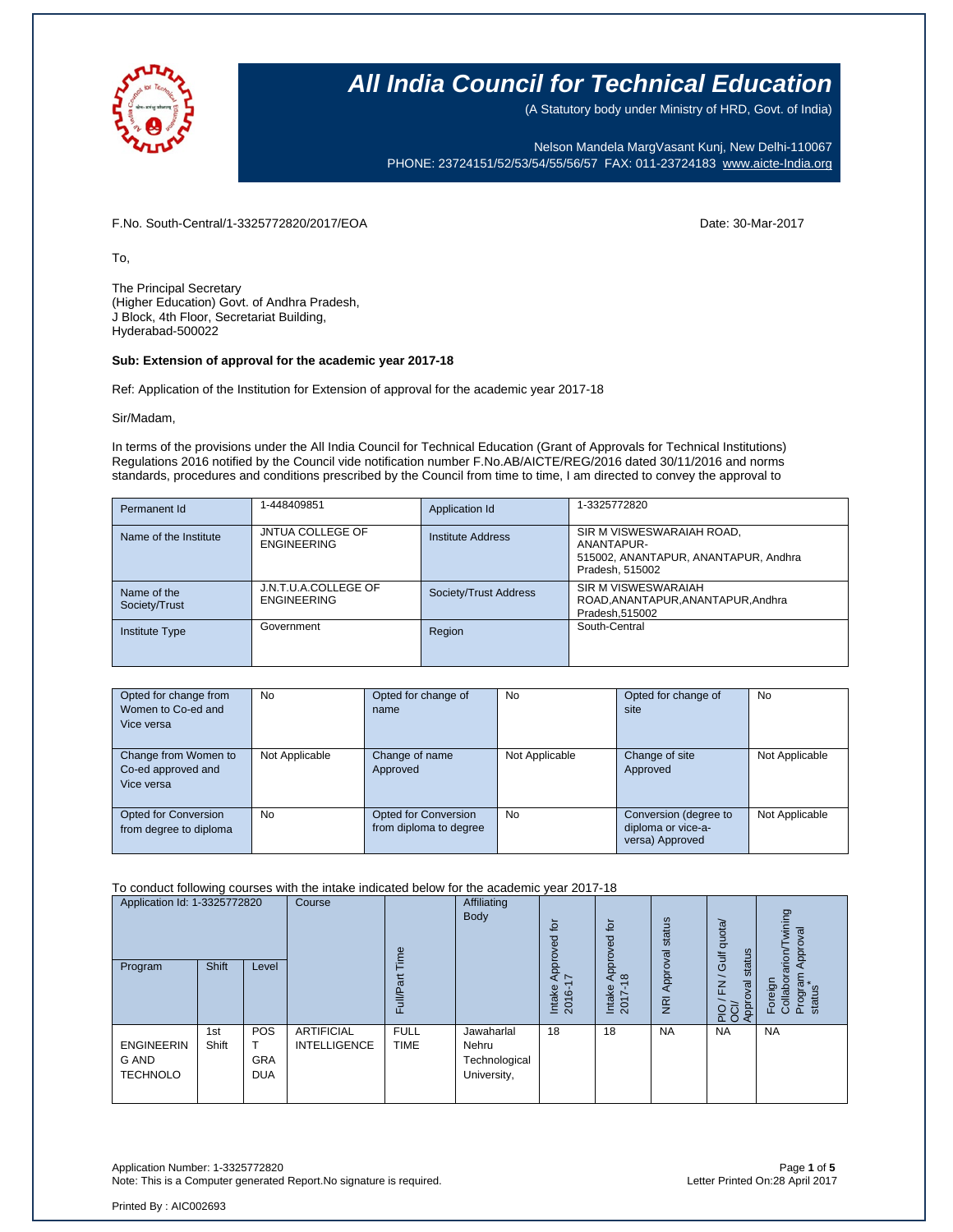

(A Statutory body under Ministry of HRD, Govt. of India)

Nelson Mandela MargVasant Kunj, New Delhi-110067 PHONE: 23724151/52/53/54/55/56/57 FAX: 011-23724183 [www.aicte-India.org](http://www.aicte-india.org/)

F.No. South-Central/1-3325772820/2017/EOA Date: 30-Mar-2017

To,

The Principal Secretary (Higher Education) Govt. of Andhra Pradesh, J Block, 4th Floor, Secretariat Building, Hyderabad-500022

#### **Sub: Extension of approval for the academic year 2017-18**

Ref: Application of the Institution for Extension of approval for the academic year 2017-18

Sir/Madam,

In terms of the provisions under the All India Council for Technical Education (Grant of Approvals for Technical Institutions) Regulations 2016 notified by the Council vide notification number F.No.AB/AICTE/REG/2016 dated 30/11/2016 and norms standards, procedures and conditions prescribed by the Council from time to time, I am directed to convey the approval to

| Permanent Id                 | 1-448409851                                   | Application Id        | 1-3325772820                                                                                       |
|------------------------------|-----------------------------------------------|-----------------------|----------------------------------------------------------------------------------------------------|
| Name of the Institute        | <b>JNTUA COLLEGE OF</b><br><b>ENGINEERING</b> | Institute Address     | SIR M VISWESWARAIAH ROAD,<br>ANANTAPUR-<br>515002, ANANTAPUR, ANANTAPUR, Andhra<br>Pradesh, 515002 |
| Name of the<br>Society/Trust | J.N.T.U.A.COLLEGE OF<br><b>ENGINEERING</b>    | Society/Trust Address | SIR M VISWESWARAIAH<br>ROAD, ANANTAPUR, ANANTAPUR, Andhra<br>Pradesh, 515002                       |
| Institute Type               | Government                                    | Region                | South-Central                                                                                      |

| Opted for change from<br>Women to Co-ed and<br>Vice versa | No             | Opted for change of<br>name                    | No             | Opted for change of<br>site                                    | No             |
|-----------------------------------------------------------|----------------|------------------------------------------------|----------------|----------------------------------------------------------------|----------------|
| Change from Women to<br>Co-ed approved and<br>Vice versa  | Not Applicable | Change of name<br>Approved                     | Not Applicable | Change of site<br>Approved                                     | Not Applicable |
| Opted for Conversion<br>from degree to diploma            | No             | Opted for Conversion<br>from diploma to degree | No             | Conversion (degree to<br>diploma or vice-a-<br>versa) Approved | Not Applicable |

### To conduct following courses with the intake indicated below for the academic year 2017-18

| Application Id: 1-3325772820<br>Program       | Shift        | Level                           | Course                                   | Time<br>ξ<br>Full/P        | Affiliating<br>Body                                 | for<br>공<br>Appro <sup>v</sup><br>$\overline{\phantom{a}}$<br>Intake<br>2016- | ίō<br>yed<br>ppro<br>₹<br>$\frac{\infty}{2}$<br>Intake<br>2017 | Approval status<br>$\overline{g}$ | Gulf quota/<br>status<br>$\overline{\phantom{0}}$<br><u>도</u><br>PIO / FN<br>OCI/<br>Approval | wining<br>Approval<br>Foreign<br>Collaborarion/T<br>Program<br>status |
|-----------------------------------------------|--------------|---------------------------------|------------------------------------------|----------------------------|-----------------------------------------------------|-------------------------------------------------------------------------------|----------------------------------------------------------------|-----------------------------------|-----------------------------------------------------------------------------------------------|-----------------------------------------------------------------------|
| <b>ENGINEERIN</b><br>G AND<br><b>TECHNOLO</b> | 1st<br>Shift | POS<br><b>GRA</b><br><b>DUA</b> | <b>ARTIFICIAL</b><br><b>INTELLIGENCE</b> | <b>FULL</b><br><b>TIME</b> | Jawaharlal<br>Nehru<br>Technological<br>University, | 18                                                                            | 18                                                             | <b>NA</b>                         | <b>NA</b>                                                                                     | <b>NA</b>                                                             |

Application Number: 1-3325772820 Page **1** of **5** Note: This is a Computer generated Report.No signature is required.

Printed By : AIC002693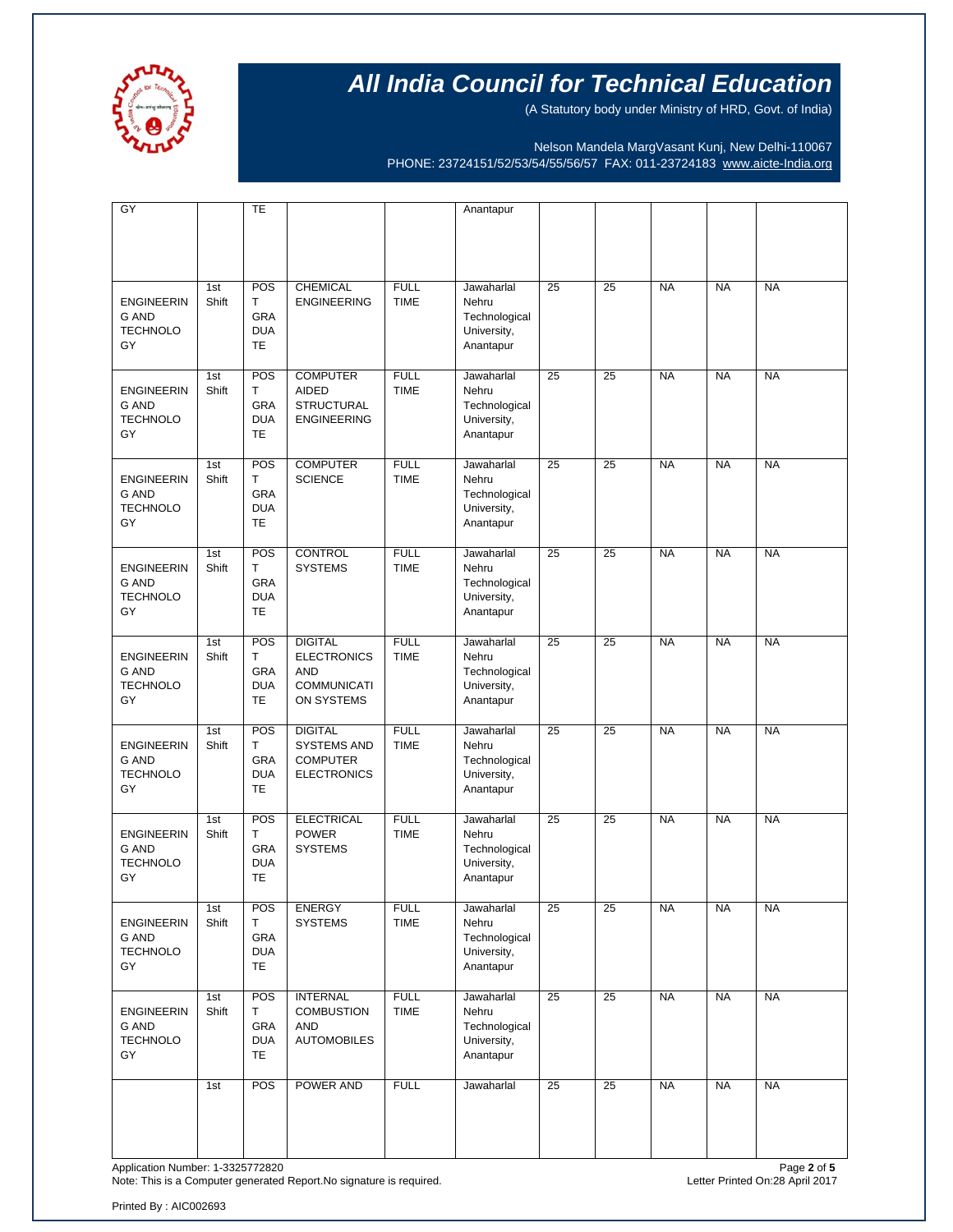

(A Statutory body under Ministry of HRD, Govt. of India)

Nelson Mandela MargVasant Kunj, New Delhi-110067 PHONE: 23724151/52/53/54/55/56/57 FAX: 011-23724183 [www.aicte-India.org](http://www.aicte-india.org/)

| GY                                                         |              | TE                                                |                                                                                        |                            | Anantapur                                                        |                 |                 |           |           |           |
|------------------------------------------------------------|--------------|---------------------------------------------------|----------------------------------------------------------------------------------------|----------------------------|------------------------------------------------------------------|-----------------|-----------------|-----------|-----------|-----------|
|                                                            |              |                                                   |                                                                                        |                            |                                                                  |                 |                 |           |           |           |
| <b>ENGINEERIN</b><br><b>G AND</b><br><b>TECHNOLO</b><br>GY | 1st<br>Shift | POS<br>T<br>GRA<br><b>DUA</b><br><b>TE</b>        | <b>CHEMICAL</b><br><b>ENGINEERING</b>                                                  | <b>FULL</b><br><b>TIME</b> | Jawaharlal<br>Nehru<br>Technological<br>University,<br>Anantapur | 25              | 25              | <b>NA</b> | <b>NA</b> | <b>NA</b> |
| <b>ENGINEERIN</b><br><b>G AND</b><br><b>TECHNOLO</b><br>GY | 1st<br>Shift | POS<br>Т<br>GRA<br><b>DUA</b><br><b>TE</b>        | <b>COMPUTER</b><br><b>AIDED</b><br><b>STRUCTURAL</b><br><b>ENGINEERING</b>             | <b>FULL</b><br><b>TIME</b> | Jawaharlal<br>Nehru<br>Technological<br>University,<br>Anantapur | 25              | 25              | <b>NA</b> | <b>NA</b> | <b>NA</b> |
| <b>ENGINEERIN</b><br><b>G AND</b><br><b>TECHNOLO</b><br>GY | 1st<br>Shift | POS<br>Т<br><b>GRA</b><br><b>DUA</b><br><b>TE</b> | <b>COMPUTER</b><br><b>SCIENCE</b>                                                      | <b>FULL</b><br><b>TIME</b> | Jawaharlal<br>Nehru<br>Technological<br>University,<br>Anantapur | 25              | 25              | <b>NA</b> | <b>NA</b> | <b>NA</b> |
| <b>ENGINEERIN</b><br><b>G AND</b><br><b>TECHNOLO</b><br>GY | 1st<br>Shift | POS<br>T<br>GRA<br><b>DUA</b><br><b>TE</b>        | <b>CONTROL</b><br><b>SYSTEMS</b>                                                       | <b>FULL</b><br><b>TIME</b> | Jawaharlal<br>Nehru<br>Technological<br>University,<br>Anantapur | 25              | 25              | <b>NA</b> | <b>NA</b> | <b>NA</b> |
| <b>ENGINEERIN</b><br><b>G AND</b><br><b>TECHNOLO</b><br>GY | 1st<br>Shift | POS<br>T<br>GRA<br><b>DUA</b><br><b>TE</b>        | <b>DIGITAL</b><br><b>ELECTRONICS</b><br><b>AND</b><br><b>COMMUNICATI</b><br>ON SYSTEMS | <b>FULL</b><br><b>TIME</b> | Jawaharlal<br>Nehru<br>Technological<br>University,<br>Anantapur | 25              | 25              | <b>NA</b> | <b>NA</b> | <b>NA</b> |
| <b>ENGINEERIN</b><br><b>G AND</b><br><b>TECHNOLO</b><br>GY | 1st<br>Shift | POS<br>Т<br>GRA<br><b>DUA</b><br><b>TE</b>        | <b>DIGITAL</b><br><b>SYSTEMS AND</b><br><b>COMPUTER</b><br><b>ELECTRONICS</b>          | <b>FULL</b><br><b>TIME</b> | Jawaharlal<br>Nehru<br>Technological<br>University,<br>Anantapur | 25              | 25              | <b>NA</b> | <b>NA</b> | <b>NA</b> |
| <b>ENGINEERIN</b><br><b>G AND</b><br><b>TECHNOLO</b><br>GY | 1st<br>Shift | POS<br>Т<br>GRA<br><b>DUA</b><br><b>TE</b>        | <b>ELECTRICAL</b><br><b>POWER</b><br><b>SYSTEMS</b>                                    | <b>FULL</b><br><b>TIME</b> | Jawaharlal<br>Nehru<br>Technological<br>University,<br>Anantapur | 25              | 25              | <b>NA</b> | <b>NA</b> | <b>NA</b> |
| <b>ENGINEERIN</b><br>G AND<br><b>TECHNOLO</b><br>GY        | 1st<br>Shift | POS<br>т<br>GRA<br><b>DUA</b><br><b>TE</b>        | <b>ENERGY</b><br><b>SYSTEMS</b>                                                        | <b>FULL</b><br><b>TIME</b> | Jawaharlal<br>Nehru<br>Technological<br>University,<br>Anantapur | $\overline{25}$ | $\overline{25}$ | <b>NA</b> | <b>NA</b> | <b>NA</b> |
| <b>ENGINEERIN</b><br>G AND<br><b>TECHNOLO</b><br>GY        | 1st<br>Shift | POS<br>Τ<br>GRA<br><b>DUA</b><br><b>TE</b>        | <b>INTERNAL</b><br><b>COMBUSTION</b><br><b>AND</b><br><b>AUTOMOBILES</b>               | <b>FULL</b><br><b>TIME</b> | Jawaharlal<br>Nehru<br>Technological<br>University,<br>Anantapur | $\overline{25}$ | $\overline{25}$ | <b>NA</b> | <b>NA</b> | <b>NA</b> |
|                                                            | 1st          | POS                                               | POWER AND                                                                              | <b>FULL</b>                | Jawaharlal                                                       | $\overline{25}$ | $\overline{25}$ | <b>NA</b> | <b>NA</b> | <b>NA</b> |

Application Number: 1-3325772820<br>Note: This is a Computer generated Report.No signature is required.<br>Note: This is a Computer generated Report.No signature is required. Note: This is a Computer generated Report.No signature is required.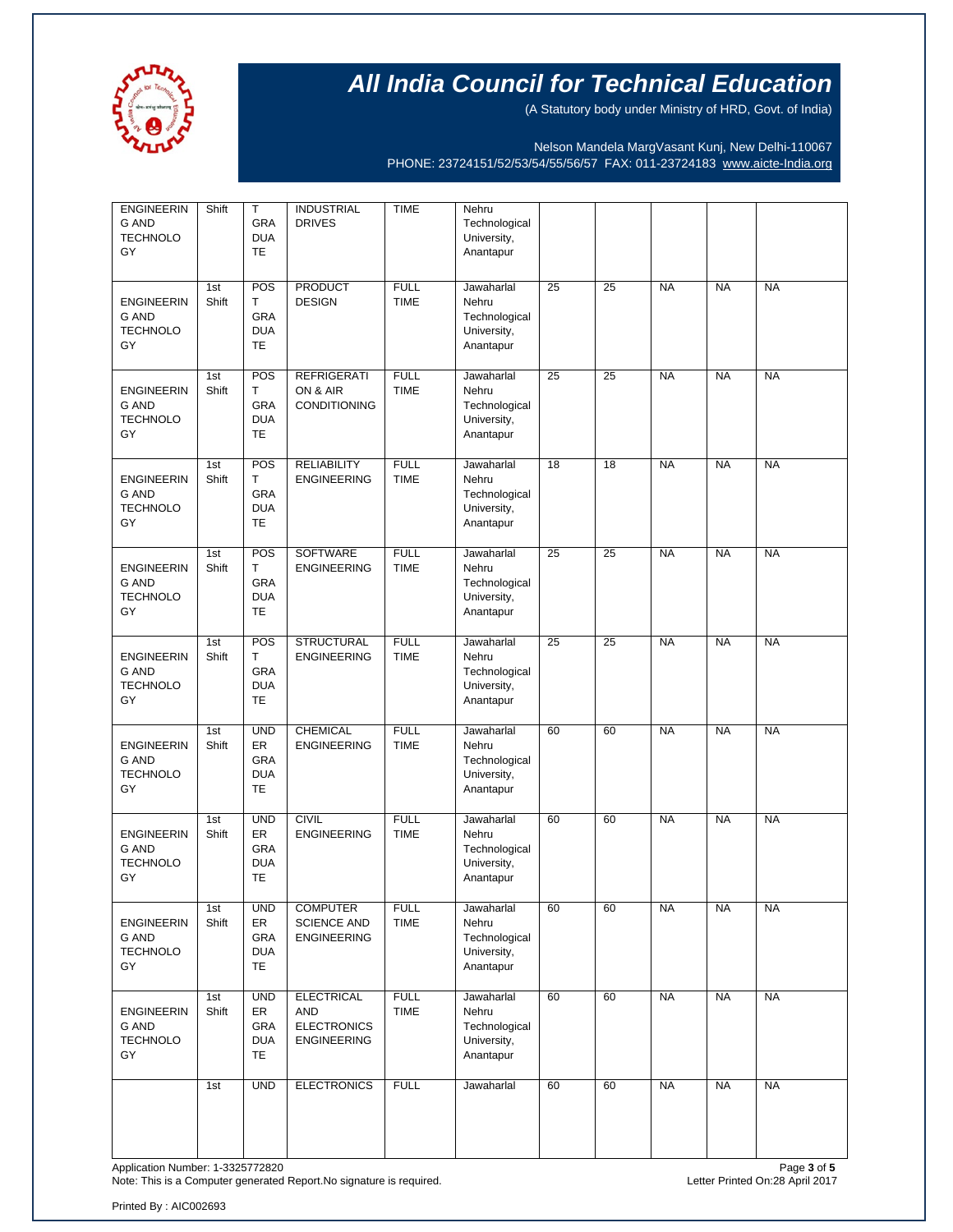

(A Statutory body under Ministry of HRD, Govt. of India)

Nelson Mandela MargVasant Kunj, New Delhi-110067 PHONE: 23724151/52/53/54/55/56/57 FAX: 011-23724183 [www.aicte-India.org](http://www.aicte-india.org/)

| <b>ENGINEERIN</b><br><b>G AND</b><br><b>TECHNOLO</b><br>GY | Shift        | $\mathsf{T}$<br>GRA<br><b>DUA</b><br>TE            | <b>INDUSTRIAL</b><br><b>DRIVES</b>                                          | <b>TIME</b>                | Nehru<br>Technological<br>University,<br>Anantapur               |    |    |           |           |           |
|------------------------------------------------------------|--------------|----------------------------------------------------|-----------------------------------------------------------------------------|----------------------------|------------------------------------------------------------------|----|----|-----------|-----------|-----------|
| <b>ENGINEERIN</b><br><b>G AND</b><br><b>TECHNOLO</b><br>GY | 1st<br>Shift | POS<br>T.<br>GRA<br><b>DUA</b><br>TE               | <b>PRODUCT</b><br><b>DESIGN</b>                                             | <b>FULL</b><br><b>TIME</b> | Jawaharlal<br>Nehru<br>Technological<br>University,<br>Anantapur | 25 | 25 | <b>NA</b> | <b>NA</b> | <b>NA</b> |
| <b>ENGINEERIN</b><br><b>G AND</b><br><b>TECHNOLO</b><br>GY | 1st<br>Shift | POS<br>T<br>GRA<br><b>DUA</b><br><b>TE</b>         | <b>REFRIGERATI</b><br>ON & AIR<br><b>CONDITIONING</b>                       | <b>FULL</b><br><b>TIME</b> | Jawaharlal<br>Nehru<br>Technological<br>University,<br>Anantapur | 25 | 25 | <b>NA</b> | <b>NA</b> | <b>NA</b> |
| <b>ENGINEERIN</b><br>G AND<br><b>TECHNOLO</b><br>GY        | 1st<br>Shift | POS<br>T.<br>GRA<br><b>DUA</b><br>TE               | <b>RELIABILITY</b><br><b>ENGINEERING</b>                                    | <b>FULL</b><br><b>TIME</b> | Jawaharlal<br>Nehru<br>Technological<br>University,<br>Anantapur | 18 | 18 | <b>NA</b> | <b>NA</b> | <b>NA</b> |
| <b>ENGINEERIN</b><br>G AND<br><b>TECHNOLO</b><br>GY        | 1st<br>Shift | POS<br>T<br>GRA<br><b>DUA</b><br>TE                | SOFTWARE<br><b>ENGINEERING</b>                                              | <b>FULL</b><br><b>TIME</b> | Jawaharlal<br>Nehru<br>Technological<br>University,<br>Anantapur | 25 | 25 | <b>NA</b> | <b>NA</b> | <b>NA</b> |
| <b>ENGINEERIN</b><br>G AND<br><b>TECHNOLO</b><br>GY        | 1st<br>Shift | POS<br>T.<br>GRA<br><b>DUA</b><br>TE               | <b>STRUCTURAL</b><br><b>ENGINEERING</b>                                     | <b>FULL</b><br><b>TIME</b> | Jawaharlal<br>Nehru<br>Technological<br>University,<br>Anantapur | 25 | 25 | <b>NA</b> | <b>NA</b> | <b>NA</b> |
| <b>ENGINEERIN</b><br>G AND<br><b>TECHNOLO</b><br>GY        | 1st<br>Shift | <b>UND</b><br>ER<br>GRA<br><b>DUA</b><br>TE        | <b>CHEMICAL</b><br><b>ENGINEERING</b>                                       | <b>FULL</b><br><b>TIME</b> | Jawaharlal<br>Nehru<br>Technological<br>University,<br>Anantapur | 60 | 60 | <b>NA</b> | <b>NA</b> | <b>NA</b> |
| <b>ENGINEERIN</b><br>G AND<br><b>TECHNOLO</b><br>GY        | 1st<br>Shift | <b>UND</b><br>ER<br>GRA<br><b>DUA</b><br>TE        | <b>CIVIL</b><br><b>ENGINEERING</b>                                          | <b>FULL</b><br><b>TIME</b> | Jawaharlal<br>Nehru<br>Technological<br>University,<br>Anantapur | 60 | 60 | <b>NA</b> | <b>NA</b> | <b>NA</b> |
| <b>ENGINEERIN</b><br>G AND<br><b>TECHNOLO</b><br>GY        | 1st<br>Shift | <b>UND</b><br>ER<br>GRA<br><b>DUA</b><br>TE        | <b>COMPUTER</b><br><b>SCIENCE AND</b><br><b>ENGINEERING</b>                 | <b>FULL</b><br><b>TIME</b> | Jawaharlal<br>Nehru<br>Technological<br>University,<br>Anantapur | 60 | 60 | <b>NA</b> | <b>NA</b> | <b>NA</b> |
| <b>ENGINEERIN</b><br>G AND<br><b>TECHNOLO</b><br>GY        | 1st<br>Shift | <b>UND</b><br>ER<br>GRA<br><b>DUA</b><br><b>TE</b> | <b>ELECTRICAL</b><br><b>AND</b><br><b>ELECTRONICS</b><br><b>ENGINEERING</b> | <b>FULL</b><br><b>TIME</b> | Jawaharlal<br>Nehru<br>Technological<br>University,<br>Anantapur | 60 | 60 | <b>NA</b> | <b>NA</b> | <b>NA</b> |
|                                                            | 1st          | <b>UND</b>                                         | <b>ELECTRONICS</b>                                                          | <b>FULL</b>                | Jawaharlal                                                       | 60 | 60 | <b>NA</b> | <b>NA</b> | <b>NA</b> |

Application Number: 1-3325772820<br>Note: This is a Computer generated Report.No signature is required.<br>Note: This is a Computer generated Report.No signature is required. Note: This is a Computer generated Report.No signature is required.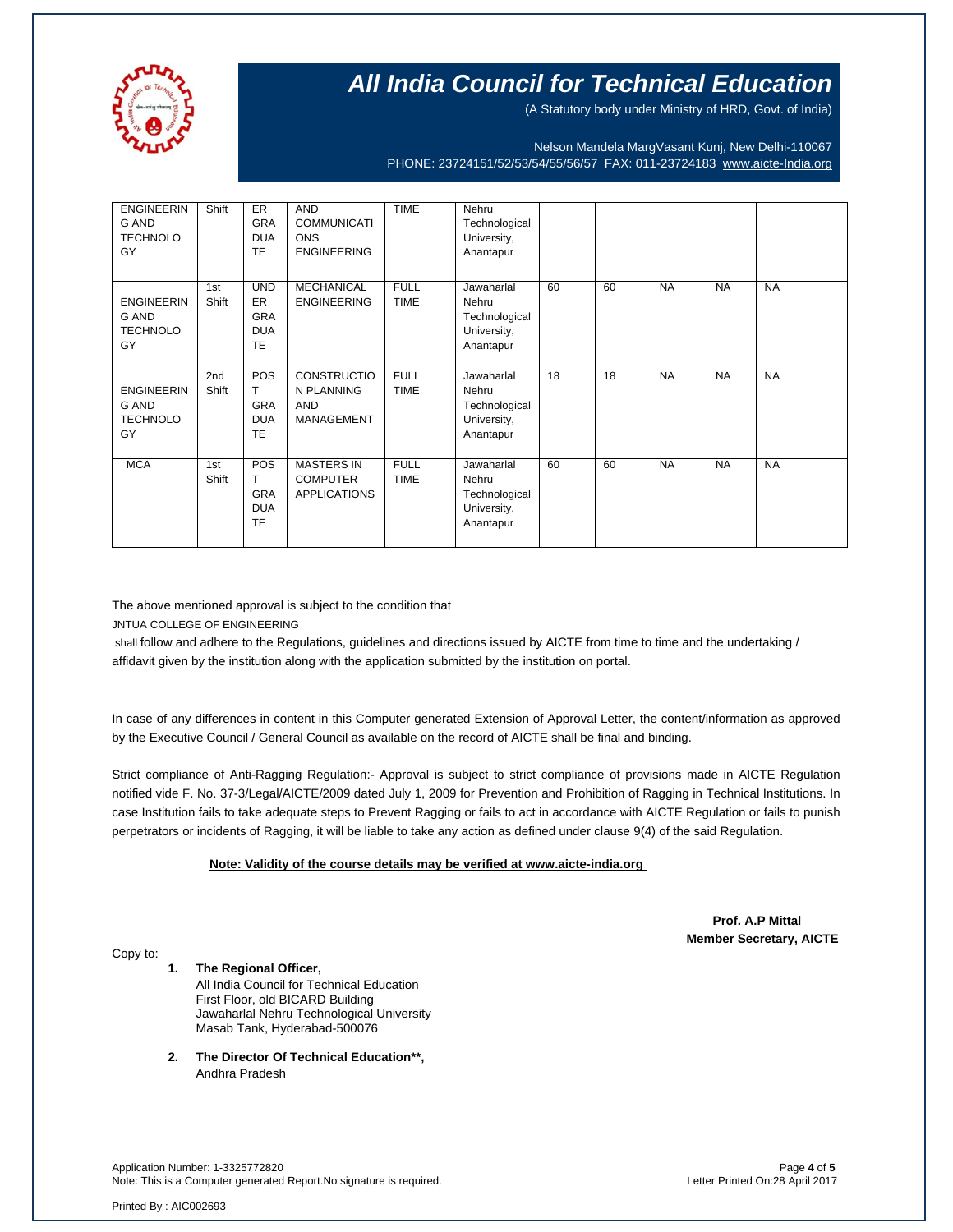

(A Statutory body under Ministry of HRD, Govt. of India)

Nelson Mandela MargVasant Kunj, New Delhi-110067 PHONE: 23724151/52/53/54/55/56/57 FAX: 011-23724183 [www.aicte-India.org](http://www.aicte-india.org/)

| <b>ENGINEERIN</b><br>G AND<br><b>TECHNOLO</b><br>GY | Shift                    | <b>ER</b><br><b>GRA</b><br><b>DUA</b><br><b>TE</b>               | <b>AND</b><br><b>COMMUNICATI</b><br><b>ONS</b><br><b>ENGINEERING</b> | <b>TIME</b>                | Nehru<br>Technological<br>University,<br>Anantapur               |    |    |           |           |           |
|-----------------------------------------------------|--------------------------|------------------------------------------------------------------|----------------------------------------------------------------------|----------------------------|------------------------------------------------------------------|----|----|-----------|-----------|-----------|
| <b>ENGINEERIN</b><br>G AND<br><b>TECHNOLO</b><br>GY | 1st<br>Shift             | <b>UND</b><br><b>ER</b><br><b>GRA</b><br><b>DUA</b><br><b>TE</b> | <b>MECHANICAL</b><br><b>ENGINEERING</b>                              | <b>FULL</b><br><b>TIME</b> | Jawaharlal<br>Nehru<br>Technological<br>University,<br>Anantapur | 60 | 60 | <b>NA</b> | <b>NA</b> | <b>NA</b> |
| <b>ENGINEERIN</b><br>G AND<br><b>TECHNOLO</b><br>GY | 2 <sub>nd</sub><br>Shift | POS<br>т<br><b>GRA</b><br><b>DUA</b><br><b>TE</b>                | <b>CONSTRUCTIO</b><br>N PLANNING<br><b>AND</b><br>MANAGEMENT         | <b>FULL</b><br><b>TIME</b> | Jawaharlal<br>Nehru<br>Technological<br>University,<br>Anantapur | 18 | 18 | <b>NA</b> | <b>NA</b> | <b>NA</b> |
| <b>MCA</b>                                          | 1st<br>Shift             | POS<br>т<br>GRA<br><b>DUA</b><br><b>TE</b>                       | <b>MASTERS IN</b><br><b>COMPUTER</b><br><b>APPLICATIONS</b>          | <b>FULL</b><br><b>TIME</b> | Jawaharlal<br>Nehru<br>Technological<br>University,<br>Anantapur | 60 | 60 | <b>NA</b> | <b>NA</b> | <b>NA</b> |

The above mentioned approval is subject to the condition that JNTUA COLLEGE OF ENGINEERING

shall follow and adhere to the Regulations, guidelines and directions issued by AICTE from time to time and the undertaking / affidavit given by the institution along with the application submitted by the institution on portal.

In case of any differences in content in this Computer generated Extension of Approval Letter, the content/information as approved by the Executive Council / General Council as available on the record of AICTE shall be final and binding.

Strict compliance of Anti-Ragging Regulation:- Approval is subject to strict compliance of provisions made in AICTE Regulation notified vide F. No. 37-3/Legal/AICTE/2009 dated July 1, 2009 for Prevention and Prohibition of Ragging in Technical Institutions. In case Institution fails to take adequate steps to Prevent Ragging or fails to act in accordance with AICTE Regulation or fails to punish perpetrators or incidents of Ragging, it will be liable to take any action as defined under clause 9(4) of the said Regulation.

 **Note: Validity of the course details may be verified at www.aicte-india.org** 

 **Prof. A.P Mittal Member Secretary, AICTE**

Copy to:

**1. The Regional Officer,** All India Council for Technical Education First Floor, old BICARD Building Jawaharlal Nehru Technological University Masab Tank, Hyderabad-500076

**2. The Director Of Technical Education\*\*,** Andhra Pradesh